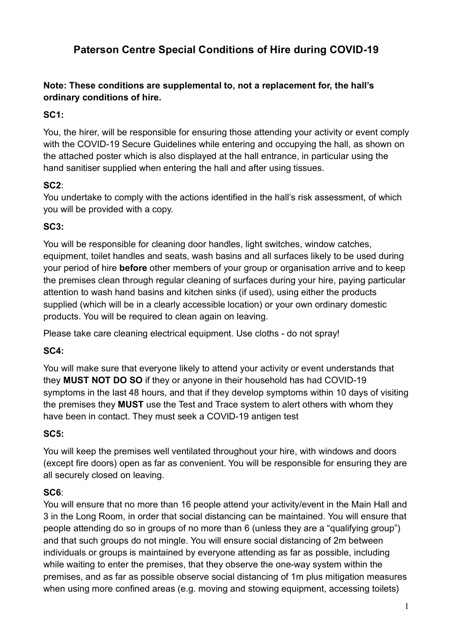# **Paterson Centre Special Conditions of Hire during COVID-19**

**Note: These conditions are supplemental to, not a replacement for, the hall's ordinary conditions of hire.** 

# **SC1:**

You, the hirer, will be responsible for ensuring those attending your activity or event comply with the COVID-19 Secure Guidelines while entering and occupying the hall, as shown on the attached poster which is also displayed at the hall entrance, in particular using the hand sanitiser supplied when entering the hall and after using tissues.

# **SC2**:

You undertake to comply with the actions identified in the hall's risk assessment, of which you will be provided with a copy.

# **SC3:**

You will be responsible for cleaning door handles, light switches, window catches, equipment, toilet handles and seats, wash basins and all surfaces likely to be used during your period of hire **before** other members of your group or organisation arrive and to keep the premises clean through regular cleaning of surfaces during your hire, paying particular attention to wash hand basins and kitchen sinks (if used), using either the products supplied (which will be in a clearly accessible location) or your own ordinary domestic products. You will be required to clean again on leaving.

Please take care cleaning electrical equipment. Use cloths - do not spray!

# **SC4:**

You will make sure that everyone likely to attend your activity or event understands that they **MUST NOT DO SO** if they or anyone in their household has had COVID-19 symptoms in the last 48 hours, and that if they develop symptoms within 10 days of visiting the premises they **MUST** use the Test and Trace system to alert others with whom they have been in contact. They must seek a COVID-19 antigen test

## **SC5:**

You will keep the premises well ventilated throughout your hire, with windows and doors (except fire doors) open as far as convenient. You will be responsible for ensuring they are all securely closed on leaving.

## **SC6**:

You will ensure that no more than 16 people attend your activity/event in the Main Hall and 3 in the Long Room, in order that social distancing can be maintained. You will ensure that people attending do so in groups of no more than 6 (unless they are a "qualifying group") and that such groups do not mingle. You will ensure social distancing of 2m between individuals or groups is maintained by everyone attending as far as possible, including while waiting to enter the premises, that they observe the one-way system within the premises, and as far as possible observe social distancing of 1m plus mitigation measures when using more confined areas (e.g. moving and stowing equipment, accessing toilets)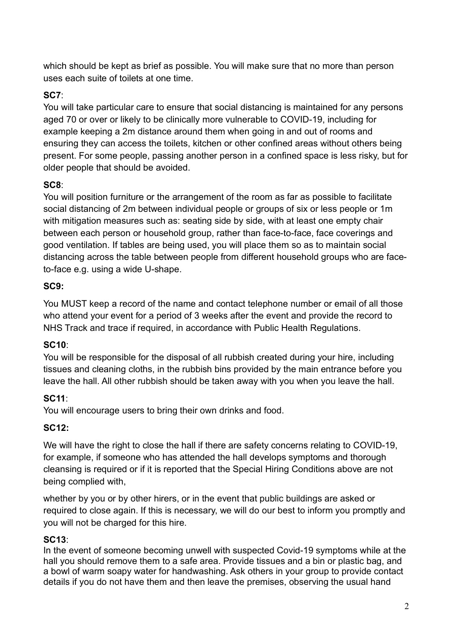which should be kept as brief as possible. You will make sure that no more than person uses each suite of toilets at one time.

## **SC7**:

You will take particular care to ensure that social distancing is maintained for any persons aged 70 or over or likely to be clinically more vulnerable to COVID-19, including for example keeping a 2m distance around them when going in and out of rooms and ensuring they can access the toilets, kitchen or other confined areas without others being present. For some people, passing another person in a confined space is less risky, but for older people that should be avoided.

## **SC8**:

You will position furniture or the arrangement of the room as far as possible to facilitate social distancing of 2m between individual people or groups of six or less people or 1m with mitigation measures such as: seating side by side, with at least one empty chair between each person or household group, rather than face-to-face, face coverings and good ventilation. If tables are being used, you will place them so as to maintain social distancing across the table between people from different household groups who are faceto-face e.g. using a wide U-shape.

## **SC9:**

You MUST keep a record of the name and contact telephone number or email of all those who attend your event for a period of 3 weeks after the event and provide the record to NHS Track and trace if required, in accordance with Public Health Regulations.

## **SC10**:

You will be responsible for the disposal of all rubbish created during your hire, including tissues and cleaning cloths, in the rubbish bins provided by the main entrance before you leave the hall. All other rubbish should be taken away with you when you leave the hall.

## **SC11**:

You will encourage users to bring their own drinks and food.

## **SC12:**

We will have the right to close the hall if there are safety concerns relating to COVID-19, for example, if someone who has attended the hall develops symptoms and thorough cleansing is required or if it is reported that the Special Hiring Conditions above are not being complied with,

whether by you or by other hirers, or in the event that public buildings are asked or required to close again. If this is necessary, we will do our best to inform you promptly and you will not be charged for this hire.

## **SC13**:

In the event of someone becoming unwell with suspected Covid-19 symptoms while at the hall you should remove them to a safe area. Provide tissues and a bin or plastic bag, and a bowl of warm soapy water for handwashing. Ask others in your group to provide contact details if you do not have them and then leave the premises, observing the usual hand